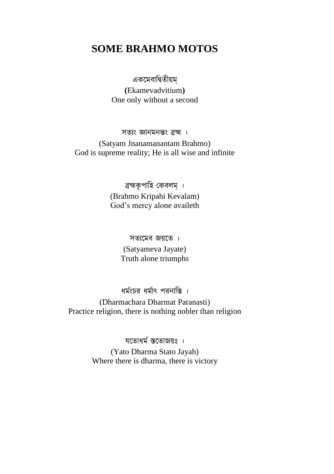# **SOME BRAHMO MOTOS**

একমেবাদ্বিতীয়ম্

**(**Ekamevadvitium**)** One only without a second

সতযং জ্ঞানেনন্তং ব্রহ্ম । (Satyam Jnanamanantam Brahmo) God is supreme reality; He is all wise and infinite

> ব্রহ্মকৃপাহি কেবলম্ । (Brahmo Kripahi Kevalam) God"s mercy alone availeth

> > সতযমেব জয়মত । (Satyameva Jayate) Truth alone triumphs

ধেমংচর ধেমাৎ রনাদ্বি ।

(Dharmachara Dharmat Paranasti) Practice religion, there is nothing nobler than religion

যতোধৰ্ম স্ততোজয়ঃ ।

(Yato Dharma Stato Jayah) Where there is dharma, there is victory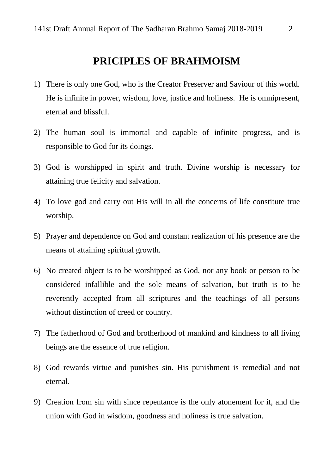# **PRICIPLES OF BRAHMOISM**

- 1) There is only one God, who is the Creator Preserver and Saviour of this world. He is infinite in power, wisdom, love, justice and holiness. He is omnipresent, eternal and blissful.
- 2) The human soul is immortal and capable of infinite progress, and is responsible to God for its doings.
- 3) God is worshipped in spirit and truth. Divine worship is necessary for attaining true felicity and salvation.
- 4) To love god and carry out His will in all the concerns of life constitute true worship.
- 5) Prayer and dependence on God and constant realization of his presence are the means of attaining spiritual growth.
- 6) No created object is to be worshipped as God, nor any book or person to be considered infallible and the sole means of salvation, but truth is to be reverently accepted from all scriptures and the teachings of all persons without distinction of creed or country.
- 7) The fatherhood of God and brotherhood of mankind and kindness to all living beings are the essence of true religion.
- 8) God rewards virtue and punishes sin. His punishment is remedial and not eternal.
- 9) Creation from sin with since repentance is the only atonement for it, and the union with God in wisdom, goodness and holiness is true salvation.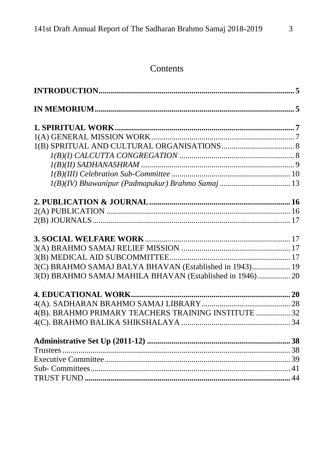# Contents

| 3(C) BRAHMO SAMAJ BALYA BHAVAN (Established in 1943) 19   |  |
|-----------------------------------------------------------|--|
| 3(D) BRAHMO SAMAJ MAHILA BHAVAN (Established in 1946)  20 |  |
|                                                           |  |
|                                                           |  |
| 4(B). BRAHMO PRIMARY TEACHERS TRAINING INSTITUTE  32      |  |
|                                                           |  |
|                                                           |  |
|                                                           |  |
|                                                           |  |
|                                                           |  |
|                                                           |  |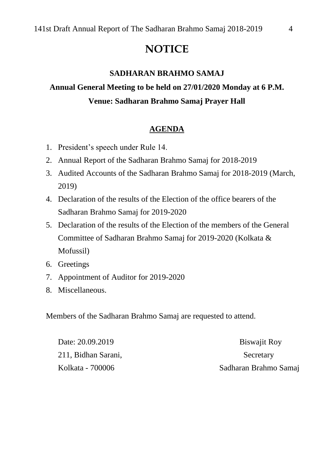# **NOTICE**

#### **SADHARAN BRAHMO SAMAJ**

# **Annual General Meeting to be held on 27/01/2020 Monday at 6 P.M. Venue: Sadharan Brahmo Samaj Prayer Hall**

#### **AGENDA**

- 1. President"s speech under Rule 14.
- 2. Annual Report of the Sadharan Brahmo Samaj for 2018-2019
- 3. Audited Accounts of the Sadharan Brahmo Samaj for 2018-2019 (March, 2019)
- 4. Declaration of the results of the Election of the office bearers of the Sadharan Brahmo Samaj for 2019-2020
- 5. Declaration of the results of the Election of the members of the General Committee of Sadharan Brahmo Samaj for 2019-2020 (Kolkata & Mofussil)
- 6. Greetings
- 7. Appointment of Auditor for 2019-2020
- 8. Miscellaneous.

Members of the Sadharan Brahmo Samaj are requested to attend.

| Date: 20.09.2019    | <b>Biswajit Roy</b>   |
|---------------------|-----------------------|
| 211, Bidhan Sarani, | Secretary             |
| Kolkata - 700006    | Sadharan Brahmo Samaj |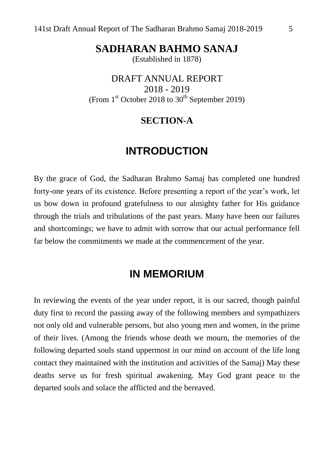**SADHARAN BAHMO SANAJ**

(Established in 1878)

DRAFT ANNUAL REPORT 2018 - 2019 (From  $1<sup>st</sup>$  October 2018 to  $30<sup>th</sup>$  September 2019)

## **SECTION-A**

# **INTRODUCTION**

By the grace of God, the Sadharan Brahmo Samaj has completed one hundred forty-one years of its existence. Before presenting a report of the year"s work, let us bow down in profound gratefulness to our almighty father for His guidance through the trials and tribulations of the past years. Many have been our failures and shortcomings; we have to admit with sorrow that our actual performance fell far below the commitments we made at the commencement of the year.

# **IN MEMORIUM**

In reviewing the events of the year under report, it is our sacred, though painful duty first to record the passing away of the following members and sympathizers not only old and vulnerable persons, but also young men and women, in the prime of their lives. (Among the friends whose death we mourn, the memories of the following departed souls stand uppermost in our mind on account of the life long contact they maintained with the institution and activities of the Samaj) May these deaths serve us for fresh spiritual awakening. May God grant peace to the departed souls and solace the afflicted and the bereaved.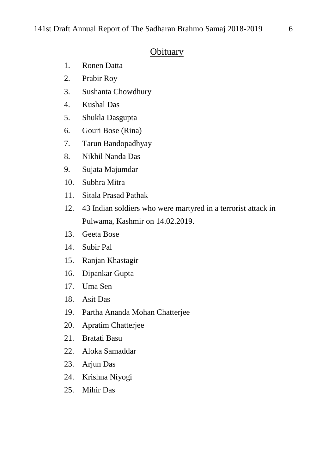# **Obituary**

- 1. Ronen Datta
- 2. Prabir Roy
- 3. Sushanta Chowdhury
- 4. Kushal Das
- 5. Shukla Dasgupta
- 6. Gouri Bose (Rina)
- 7. Tarun Bandopadhyay
- 8. Nikhil Nanda Das
- 9. Sujata Majumdar
- 10. Subhra Mitra
- 11. Sitala Prasad Pathak
- 12. 43 Indian soldiers who were martyred in a terrorist attack in Pulwama, Kashmir on 14.02.2019.
- 13. Geeta Bose
- 14. Subir Pal
- 15. Ranjan Khastagir
- 16. Dipankar Gupta
- 17. Uma Sen
- 18. Asit Das
- 19. Partha Ananda Mohan Chatterjee
- 20. Apratim Chatterjee
- 21. Bratati Basu
- 22. Aloka Samaddar
- 23. Arjun Das
- 24. Krishna Niyogi
- 25. Mihir Das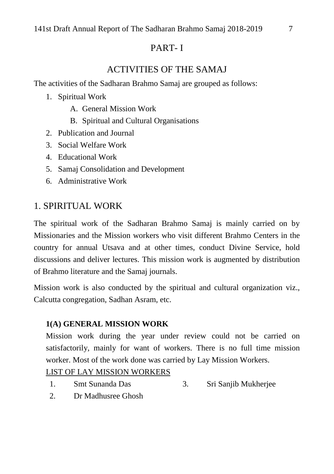# PART- I

# ACTIVITIES OF THE SAMAJ

The activities of the Sadharan Brahmo Samaj are grouped as follows:

- 1. Spiritual Work
	- A. General Mission Work
	- B. Spiritual and Cultural Organisations
- 2. Publication and Journal
- 3. Social Welfare Work
- 4. Educational Work
- 5. Samaj Consolidation and Development
- 6. Administrative Work

# 1. SPIRITUAL WORK

The spiritual work of the Sadharan Brahmo Samaj is mainly carried on by Missionaries and the Mission workers who visit different Brahmo Centers in the country for annual Utsava and at other times, conduct Divine Service, hold discussions and deliver lectures. This mission work is augmented by distribution of Brahmo literature and the Samaj journals.

Mission work is also conducted by the spiritual and cultural organization viz., Calcutta congregation, Sadhan Asram, etc.

# **1(A) GENERAL MISSION WORK**

Mission work during the year under review could not be carried on satisfactorily, mainly for want of workers. There is no full time mission worker. Most of the work done was carried by Lay Mission Workers.

# LIST OF LAY MISSION WORKERS

- 1. Smt Sunanda Das 3. Sri Sanjib Mukherjee
- 2. Dr Madhusree Ghosh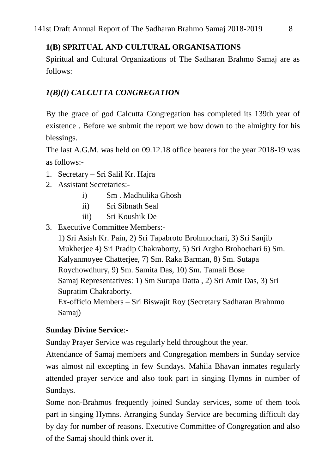# **1(B) SPRITUAL AND CULTURAL ORGANISATIONS**

Spiritual and Cultural Organizations of The Sadharan Brahmo Samaj are as follows:

# *1(B)(I) CALCUTTA CONGREGATION*

By the grace of god Calcutta Congregation has completed its 139th year of existence . Before we submit the report we bow down to the almighty for his blessings.

The last A.G.M. was held on 09.12.18 office bearers for the year 2018-19 was as follows:-

- 1. Secretary Sri Salil Kr. Hajra
- 2. Assistant Secretaries:
	- i) Sm . Madhulika Ghosh
	- ii) Sri Sibnath Seal
	- iii) Sri Koushik De
- 3. Executive Committee Members:-

1) Sri Asish Kr. Pain, 2) Sri Tapabroto Brohmochari, 3) Sri Sanjib Mukherjee 4) Sri Pradip Chakraborty, 5) Sri Argho Brohochari 6) Sm. Kalyanmoyee Chatterjee, 7) Sm. Raka Barman, 8) Sm. Sutapa Roychowdhury, 9) Sm. Samita Das, 10) Sm. Tamali Bose Samaj Representatives: 1) Sm Surupa Datta , 2) Sri Amit Das, 3) Sri Supratim Chakraborty. Ex-officio Members – Sri Biswajit Roy (Secretary Sadharan Brahnmo Samaj)

# **Sunday Divine Service**:-

Sunday Prayer Service was regularly held throughout the year.

Attendance of Samaj members and Congregation members in Sunday service was almost nil excepting in few Sundays. Mahila Bhavan inmates regularly attended prayer service and also took part in singing Hymns in number of Sundays.

Some non-Brahmos frequently joined Sunday services, some of them took part in singing Hymns. Arranging Sunday Service are becoming difficult day by day for number of reasons. Executive Committee of Congregation and also of the Samaj should think over it.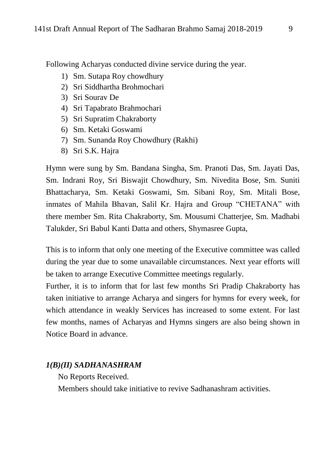Following Acharyas conducted divine service during the year.

- 1) Sm. Sutapa Roy chowdhury
- 2) Sri Siddhartha Brohmochari
- 3) Sri Sourav De
- 4) Sri Tapabrato Brahmochari
- 5) Sri Supratim Chakraborty
- 6) Sm. Ketaki Goswami
- 7) Sm. Sunanda Roy Chowdhury (Rakhi)
- 8) Sri S.K. Hajra

Hymn were sung by Sm. Bandana Singha, Sm. Pranoti Das, Sm. Jayati Das, Sm. Indrani Roy, Sri Biswajit Chowdhury, Sm. Nivedita Bose, Sm. Suniti Bhattacharya, Sm. Ketaki Goswami, Sm. Sibani Roy, Sm. Mitali Bose, inmates of Mahila Bhavan, Salil Kr. Hajra and Group "CHETANA" with there member Sm. Rita Chakraborty, Sm. Mousumi Chatterjee, Sm. Madhabi Talukder, Sri Babul Kanti Datta and others, Shymasree Gupta,

This is to inform that only one meeting of the Executive committee was called during the year due to some unavailable circumstances. Next year efforts will be taken to arrange Executive Committee meetings regularly.

Further, it is to inform that for last few months Sri Pradip Chakraborty has taken initiative to arrange Acharya and singers for hymns for every week, for which attendance in weakly Services has increased to some extent. For last few months, names of Acharyas and Hymns singers are also being shown in Notice Board in advance.

#### *1(B)(II) SADHANASHRAM*

No Reports Received.

Members should take initiative to revive Sadhanashram activities.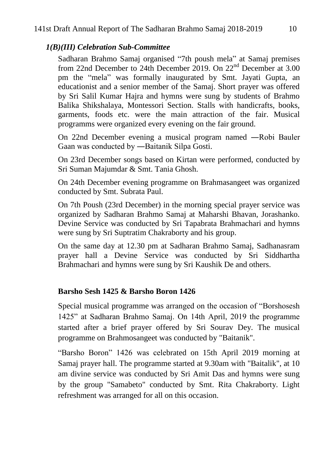## *1(B)(III) Celebration Sub-Committee*

Sadharan Brahmo Samaj organised "7th poush mela" at Samaj premises from 22nd December to 24th December 2019. On 22<sup>nd</sup> December at 3.00 pm the "mela" was formally inaugurated by Smt. Jayati Gupta, an educationist and a senior member of the Samaj. Short prayer was offered by Sri Salil Kumar Hajra and hymns were sung by students of Brahmo Balika Shikshalaya, Montessori Section. Stalls with handicrafts, books, garments, foods etc. were the main attraction of the fair. Musical programms were organized every evening on the fair ground.

On 22nd December evening a musical program named ―Robi Bauler Gaan was conducted by ―Baitanik Silpa Gosti.

On 23rd December songs based on Kirtan were performed, conducted by Sri Suman Majumdar & Smt. Tania Ghosh.

On 24th December evening programme on Brahmasangeet was organized conducted by Smt. Subrata Paul.

On 7th Poush (23rd December) in the morning special prayer service was organized by Sadharan Brahmo Samaj at Maharshi Bhavan, Jorashanko. Devine Service was conducted by Sri Tapabrata Brahmachari and hymns were sung by Sri Suptratim Chakraborty and his group.

On the same day at 12.30 pm at Sadharan Brahmo Samaj, Sadhanasram prayer hall a Devine Service was conducted by Sri Siddhartha Brahmachari and hymns were sung by Sri Kaushik De and others.

# **Barsho Sesh 1425 & Barsho Boron 1426**

Special musical programme was arranged on the occasion of "Borshosesh 1425" at Sadharan Brahmo Samaj. On 14th April, 2019 the programme started after a brief prayer offered by Sri Sourav Dey. The musical programme on Brahmosangeet was conducted by "Baitanik".

"Barsho Boron" 1426 was celebrated on 15th April 2019 morning at Samaj prayer hall. The programme started at 9.30am with "Baitalik", at 10 am divine service was conducted by Sri Amit Das and hymns were sung by the group "Samabeto" conducted by Smt. Rita Chakraborty. Light refreshment was arranged for all on this occasion.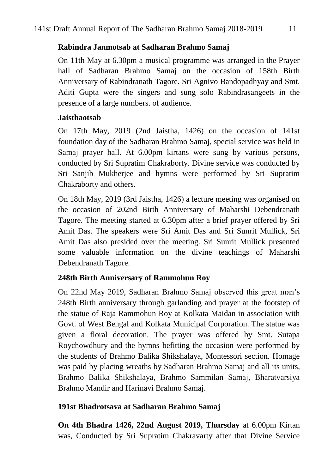## **Rabindra Janmotsab at Sadharan Brahmo Samaj**

On 11th May at 6.30pm a musical programme was arranged in the Prayer hall of Sadharan Brahmo Samaj on the occasion of 158th Birth Anniversary of Rabindranath Tagore. Sri Agnivo Bandopadhyay and Smt. Aditi Gupta were the singers and sung solo Rabindrasangeets in the presence of a large numbers. of audience.

## **Jaisthaotsab**

On 17th May, 2019 (2nd Jaistha, 1426) on the occasion of 141st foundation day of the Sadharan Brahmo Samaj, special service was held in Samaj prayer hall. At 6.00pm kirtans were sung by various persons, conducted by Sri Supratim Chakraborty. Divine service was conducted by Sri Sanjib Mukherjee and hymns were performed by Sri Supratim Chakraborty and others.

On 18th May, 2019 (3rd Jaistha, 1426) a lecture meeting was organised on the occasion of 202nd Birth Anniversary of Maharshi Debendranath Tagore. The meeting started at 6.30pm after a brief prayer offered by Sri Amit Das. The speakers were Sri Amit Das and Sri Sunrit Mullick, Sri Amit Das also presided over the meeting. Sri Sunrit Mullick presented some valuable information on the divine teachings of Maharshi Debendranath Tagore.

# **248th Birth Anniversary of Rammohun Roy**

On 22nd May 2019, Sadharan Brahmo Samaj observed this great man"s 248th Birth anniversary through garlanding and prayer at the footstep of the statue of Raja Rammohun Roy at Kolkata Maidan in association with Govt. of West Bengal and Kolkata Municipal Corporation. The statue was given a floral decoration. The prayer was offered by Smt. Sutapa Roychowdhury and the hymns befitting the occasion were performed by the students of Brahmo Balika Shikshalaya, Montessori section. Homage was paid by placing wreaths by Sadharan Brahmo Samaj and all its units, Brahmo Balika Shikshalaya, Brahmo Sammilan Samaj, Bharatvarsiya Brahmo Mandir and Harinavi Brahmo Samaj.

# **191st Bhadrotsava at Sadharan Brahmo Samaj**

**On 4th Bhadra 1426, 22nd August 2019, Thursday** at 6.00pm Kirtan was, Conducted by Sri Supratim Chakravarty after that Divine Service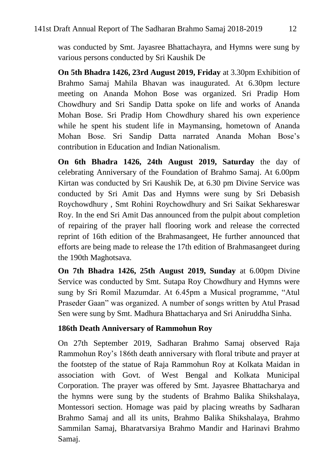was conducted by Smt. Jayasree Bhattachayra, and Hymns were sung by various persons conducted by Sri Kaushik De

**On 5th Bhadra 1426, 23rd August 2019, Friday** at 3.30pm Exhibition of Brahmo Samaj Mahila Bhavan was inaugurated. At 6.30pm lecture meeting on Ananda Mohon Bose was organized. Sri Pradip Hom Chowdhury and Sri Sandip Datta spoke on life and works of Ananda Mohan Bose. Sri Pradip Hom Chowdhury shared his own experience while he spent his student life in Maymansing, hometown of Ananda Mohan Bose. Sri Sandip Datta narrated Ananda Mohan Bose"s contribution in Education and Indian Nationalism.

**On 6th Bhadra 1426, 24th August 2019, Saturday** the day of celebrating Anniversary of the Foundation of Brahmo Samaj. At 6.00pm Kirtan was conducted by Sri Kaushik De, at 6.30 pm Divine Service was conducted by Sri Amit Das and Hymns were sung by Sri Debasish Roychowdhury , Smt Rohini Roychowdhury and Sri Saikat Sekhareswar Roy. In the end Sri Amit Das announced from the pulpit about completion of repairing of the prayer hall flooring work and release the corrected reprint of 16th edition of the Brahmasangeet, He further announced that efforts are being made to release the 17th edition of Brahmasangeet during the 190th Maghotsava.

**On 7th Bhadra 1426, 25th August 2019, Sunday** at 6.00pm Divine Service was conducted by Smt. Sutapa Roy Chowdhury and Hymns were sung by Sri Romil Mazumdar. At 6.45pm a Musical programme, "Atul Praseder Gaan" was organized. A number of songs written by Atul Prasad Sen were sung by Smt. Madhura Bhattacharya and Sri Aniruddha Sinha.

#### **186th Death Anniversary of Rammohun Roy**

On 27th September 2019, Sadharan Brahmo Samaj observed Raja Rammohun Roy"s 186th death anniversary with floral tribute and prayer at the footstep of the statue of Raja Rammohun Roy at Kolkata Maidan in association with Govt. of West Bengal and Kolkata Municipal Corporation. The prayer was offered by Smt. Jayasree Bhattacharya and the hymns were sung by the students of Brahmo Balika Shikshalaya, Montessori section. Homage was paid by placing wreaths by Sadharan Brahmo Samaj and all its units, Brahmo Balika Shikshalaya, Brahmo Sammilan Samaj, Bharatvarsiya Brahmo Mandir and Harinavi Brahmo Samaj.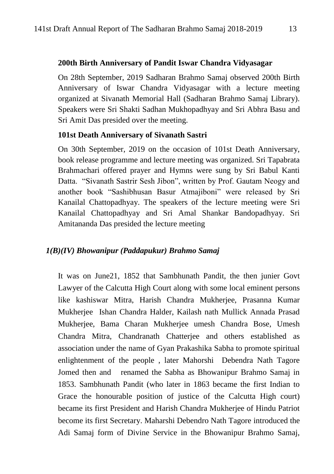#### **200th Birth Anniversary of Pandit Iswar Chandra Vidyasagar**

On 28th September, 2019 Sadharan Brahmo Samaj observed 200th Birth Anniversary of Iswar Chandra Vidyasagar with a lecture meeting organized at Sivanath Memorial Hall (Sadharan Brahmo Samaj Library). Speakers were Sri Shakti Sadhan Mukhopadhyay and Sri Abhra Basu and Sri Amit Das presided over the meeting.

#### **101st Death Anniversary of Sivanath Sastri**

On 30th September, 2019 on the occasion of 101st Death Anniversary, book release programme and lecture meeting was organized. Sri Tapabrata Brahmachari offered prayer and Hymns were sung by Sri Babul Kanti Datta. "Sivanath Sastrir Sesh Jibon", written by Prof. Gautam Neogy and another book "Sashibhusan Basur Atmajiboni" were released by Sri Kanailal Chattopadhyay. The speakers of the lecture meeting were Sri Kanailal Chattopadhyay and Sri Amal Shankar Bandopadhyay. Sri Amitananda Das presided the lecture meeting

#### *1(B)(IV) Bhowanipur (Paddapukur) Brahmo Samaj*

It was on June21, 1852 that Sambhunath Pandit, the then junier Govt Lawyer of the Calcutta High Court along with some local eminent persons like kashiswar Mitra, Harish Chandra Mukherjee, Prasanna Kumar Mukherjee Ishan Chandra Halder, Kailash nath Mullick Annada Prasad Mukherjee, Bama Charan Mukherjee umesh Chandra Bose, Umesh Chandra Mitra, Chandranath Chatterjee and others established as association under the name of Gyan Prakashika Sabha to promote spiritual enlightenment of the people , later Mahorshi Debendra Nath Tagore Jomed then and renamed the Sabha as Bhowanipur Brahmo Samaj in 1853. Sambhunath Pandit (who later in 1863 became the first Indian to Grace the honourable position of justice of the Calcutta High court) became its first President and Harish Chandra Mukherjee of Hindu Patriot become its first Secretary. Maharshi Debendro Nath Tagore introduced the Adi Samaj form of Divine Service in the Bhowanipur Brahmo Samaj,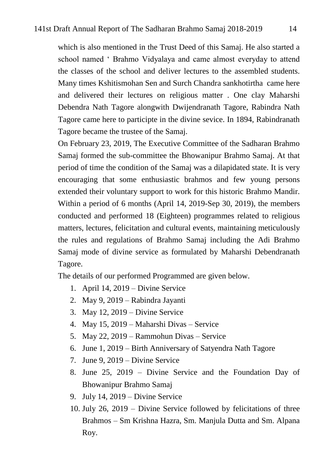which is also mentioned in the Trust Deed of this Samaj. He also started a school named " Brahmo Vidyalaya and came almost everyday to attend the classes of the school and deliver lectures to the assembled students. Many times Kshitismohan Sen and Surch Chandra sankhotirtha came here and delivered their lectures on religious matter . One clay Maharshi Debendra Nath Tagore alongwith Dwijendranath Tagore, Rabindra Nath Tagore came here to participte in the divine sevice. In 1894, Rabindranath Tagore became the trustee of the Samaj.

On February 23, 2019, The Executive Committee of the Sadharan Brahmo Samaj formed the sub-committee the Bhowanipur Brahmo Samaj. At that period of time the condition of the Samaj was a dilapidated state. It is very encouraging that some enthusiastic brahmos and few young persons extended their voluntary support to work for this historic Brahmo Mandir. Within a period of 6 months (April 14, 2019-Sep 30, 2019), the members conducted and performed 18 (Eighteen) programmes related to religious matters, lectures, felicitation and cultural events, maintaining meticulously the rules and regulations of Brahmo Samaj including the Adi Brahmo Samaj mode of divine service as formulated by Maharshi Debendranath Tagore.

The details of our performed Programmed are given below.

- 1. April 14, 2019 Divine Service
- 2. May 9, 2019 Rabindra Jayanti
- 3. May 12, 2019 Divine Service
- 4. May 15, 2019 Maharshi Divas Service
- 5. May 22, 2019 Rammohun Divas Service
- 6. June 1, 2019 Birth Anniversary of Satyendra Nath Tagore
- 7. June 9, 2019 Divine Service
- 8. June 25, 2019 Divine Service and the Foundation Day of Bhowanipur Brahmo Samaj
- 9. July 14, 2019 Divine Service
- 10. July 26, 2019 Divine Service followed by felicitations of three Brahmos – Sm Krishna Hazra, Sm. Manjula Dutta and Sm. Alpana Roy.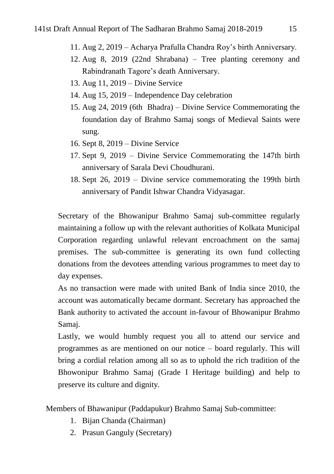- 11. Aug 2, 2019 Acharya Prafulla Chandra Roy"s birth Anniversary.
- 12. Aug 8, 2019 (22nd Shrabana) Tree planting ceremony and Rabindranath Tagore"s death Anniversary.
- 13. Aug 11, 2019 Divine Service
- 14. Aug 15, 2019 Independence Day celebration
- 15. Aug 24, 2019 (6th Bhadra) Divine Service Commemorating the foundation day of Brahmo Samaj songs of Medieval Saints were sung.
- 16. Sept 8, 2019 Divine Service
- 17. Sept 9, 2019 Divine Service Commemorating the 147th birth anniversary of Sarala Devi Choudhurani.
- 18. Sept 26, 2019 Divine service commemorating the 199th birth anniversary of Pandit Ishwar Chandra Vidyasagar.

Secretary of the Bhowanipur Brahmo Samaj sub-committee regularly maintaining a follow up with the relevant authorities of Kolkata Municipal Corporation regarding unlawful relevant encroachment on the samaj premises. The sub-committee is generating its own fund collecting donations from the devotees attending various programmes to meet day to day expenses.

As no transaction were made with united Bank of India since 2010, the account was automatically became dormant. Secretary has approached the Bank authority to activated the account in-favour of Bhowanipur Brahmo Samaj.

Lastly, we would humbly request you all to attend our service and programmes as are mentioned on our notice – board regularly. This will bring a cordial relation among all so as to uphold the rich tradition of the Bhowonipur Brahmo Samaj (Grade I Heritage building) and help to preserve its culture and dignity.

Members of Bhawanipur (Paddapukur) Brahmo Samaj Sub-committee:

- 1. Bijan Chanda (Chairman)
- 2. Prasun Ganguly (Secretary)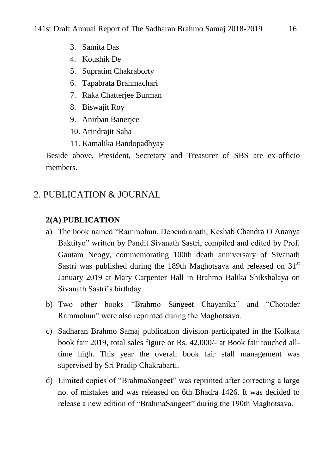- 3. Samita Das
- 4. Koushik De
- 5. Supratim Chakraborty
- 6. Tapabrata Brahmachari
- 7. Raka Chatterjee Burman
- 8. Biswajit Roy
- 9. Anirban Banerjee
- 10. Arindrajit Saha
- 11. Kamalika Bandopadhyay

Beside above, President, Secretary and Treasurer of SBS are ex-officio members.

# 2. PUBLICATION & JOURNAL

# **2(A) PUBLICATION**

- a) The book named "Rammohun, Debendranath, Keshab Chandra O Ananya Baktityo" written by Pandit Sivanath Sastri, compiled and edited by Prof. Gautam Neogy, commemorating 100th death anniversary of Sivanath Sastri was published during the 189th Maghotsava and released on  $31<sup>st</sup>$ January 2019 at Mary Carpenter Hall in Brahmo Balika Shikshalaya on Sivanath Sastri"s birthday.
- b) Two other books "Brahmo Sangeet Chayanika" and "Chotoder Rammohun" were also reprinted during the Maghotsava.
- c) Sadharan Brahmo Samaj publication division participated in the Kolkata book fair 2019, total sales figure or Rs. 42,000/- at Book fair touched alltime high. This year the overall book fair stall management was supervised by Sri Pradip Chakrabarti.
- d) Limited copies of "BrahmaSangeet" was reprinted after correcting a large no. of mistakes and was released on 6th Bhadra 1426. It was decided to release a new edition of "BrahmaSangeet" during the 190th Maghotsava.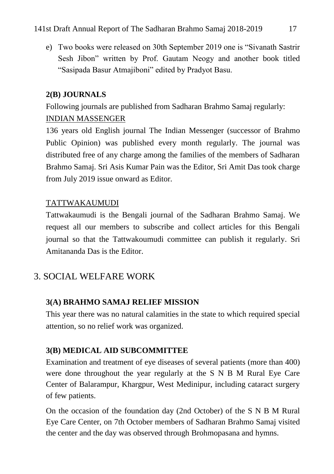e) Two books were released on 30th September 2019 one is "Sivanath Sastrir Sesh Jibon" written by Prof. Gautam Neogy and another book titled "Sasipada Basur Atmajiboni" edited by Pradyot Basu.

# **2(B) JOURNALS**

Following journals are published from Sadharan Brahmo Samaj regularly: INDIAN MASSENGER

136 years old English journal The Indian Messenger (successor of Brahmo Public Opinion) was published every month regularly. The journal was distributed free of any charge among the families of the members of Sadharan Brahmo Samaj. Sri Asis Kumar Pain was the Editor, Sri Amit Das took charge from July 2019 issue onward as Editor.

# TATTWAKAUMUDI

Tattwakaumudi is the Bengali journal of the Sadharan Brahmo Samaj. We request all our members to subscribe and collect articles for this Bengali journal so that the Tattwakoumudi committee can publish it regularly. Sri Amitananda Das is the Editor.

# 3. SOCIAL WELFARE WORK

# **3(A) BRAHMO SAMAJ RELIEF MISSION**

This year there was no natural calamities in the state to which required special attention, so no relief work was organized.

# **3(B) MEDICAL AID SUBCOMMITTEE**

Examination and treatment of eye diseases of several patients (more than 400) were done throughout the year regularly at the S N B M Rural Eye Care Center of Balarampur, Khargpur, West Medinipur, including cataract surgery of few patients.

On the occasion of the foundation day (2nd October) of the S N B M Rural Eye Care Center, on 7th October members of Sadharan Brahmo Samaj visited the center and the day was observed through Brohmopasana and hymns.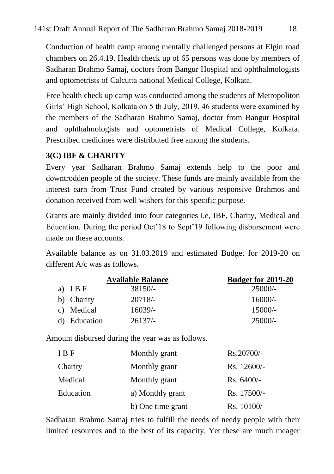Conduction of health camp among mentally challenged persons at Elgin road chambers on 26.4.19. Health check up of 65 persons was done by members of Sadharan Brahmo Samaj, doctors from Bangur Hospital and ophthalmologists and optometrists of Calcutta national Medical College, Kolkata.

Free health check up camp was conducted among the students of Metropoliton Girls" High School, Kolkata on 5 th July, 2019. 46 students were examined by the members of the Sadharan Brahmo Samaj, doctor from Bangur Hospital and ophthalmologists and optometrists of Medical College, Kolkata. Prescribed medicines were distributed free among the students.

# **3(C) IBF & CHARITY**

Every year Sadharan Brahmo Samaj extends help to the poor and downtrodden people of the society. These funds are mainly available from the interest earn from Trust Fund created by various responsive Brahmos and donation received from well wishers for this specific purpose.

Grants are mainly divided into four categories i,e, IBF, Charity, Medical and Education. During the period Oct'18 to Sept'19 following disbursement were made on these accounts.

Available balance as on 31.03.2019 and estimated Budget for 2019-20 on different A/c was as follows.

|              | <b>Available Balance</b> | <b>Budget for 2019-20</b> |
|--------------|--------------------------|---------------------------|
| a) $IBF$     | $38150/-$                | $25000/-$                 |
| b) Charity   | $20718/-$                | $16000/-$                 |
| c) Medical   | $16039/-$                | $15000/-$                 |
| d) Education | $26137/-$                | $25000/-$                 |

Amount disbursed during the year was as follows.

| I B F     | Monthly grant     | Rs.20700/-   |
|-----------|-------------------|--------------|
| Charity   | Monthly grant     | Rs. 12600/-  |
| Medical   | Monthly grant     | $Rs. 6400/-$ |
| Education | a) Monthly grant  | Rs. 17500/-  |
|           | b) One time grant | Rs. 10100/-  |

Sadharan Brahmo Samaj tries to fulfill the needs of needy people with their limited resources and to the best of its capacity. Yet these are much meager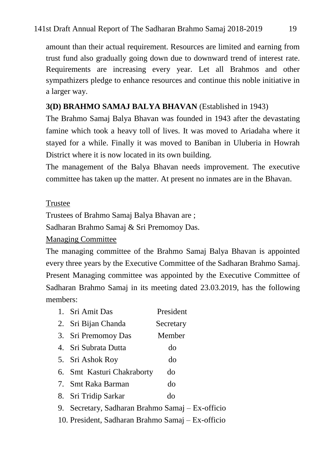amount than their actual requirement. Resources are limited and earning from trust fund also gradually going down due to downward trend of interest rate. Requirements are increasing every year. Let all Brahmos and other sympathizers pledge to enhance resources and continue this noble initiative in a larger way.

## **3(D) BRAHMO SAMAJ BALYA BHAVAN** (Established in 1943)

The Brahmo Samaj Balya Bhavan was founded in 1943 after the devastating famine which took a heavy toll of lives. It was moved to Ariadaha where it stayed for a while. Finally it was moved to Baniban in Uluberia in Howrah District where it is now located in its own building.

The management of the Balya Bhavan needs improvement. The executive committee has taken up the matter. At present no inmates are in the Bhavan.

#### Trustee

Trustees of Brahmo Samaj Balya Bhavan are ;

Sadharan Brahmo Samaj & Sri Premomoy Das.

#### Managing Committee

The managing committee of the Brahmo Samaj Balya Bhavan is appointed every three years by the Executive Committee of the Sadharan Brahmo Samaj. Present Managing committee was appointed by the Executive Committee of Sadharan Brahmo Samaj in its meeting dated 23.03.2019, has the following members:

| 1. Sri Amit Das                                  | President |
|--------------------------------------------------|-----------|
| 2. Sri Bijan Chanda                              | Secretary |
| 3. Sri Premomoy Das                              | Member    |
| 4. Sri Subrata Dutta                             | do        |
| 5. Sri Ashok Roy                                 | do        |
| 6. Smt Kasturi Chakraborty                       | do        |
| 7. Smt Raka Barman                               | do        |
| 8. Sri Tridip Sarkar                             | do        |
| 9. Secretary, Sadharan Brahmo Samaj – Ex-officio |           |

10. President, Sadharan Brahmo Samaj – Ex-officio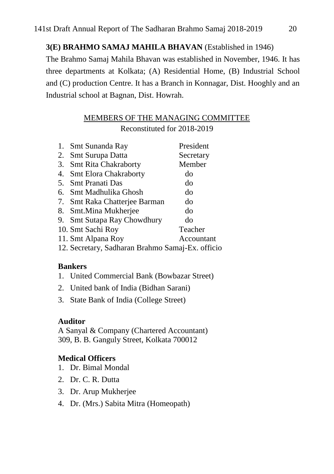#### **3(E) BRAHMO SAMAJ MAHILA BHAVAN** (Established in 1946)

The Brahmo Samaj Mahila Bhavan was established in November, 1946. It has three departments at Kolkata; (A) Residential Home, (B) Industrial School and (C) production Centre. It has a Branch in Konnagar, Dist. Hooghly and an Industrial school at Bagnan, Dist. Howrah.

# MEMBERS OF THE MANAGING COMMITTEE

Reconstituted for 2018-2019

| 1. Smt Sunanda Ray                               | President  |
|--------------------------------------------------|------------|
| 2. Smt Surupa Datta                              | Secretary  |
| 3. Smt Rita Chakraborty                          | Member     |
| 4. Smt Elora Chakraborty                         | do         |
| 5. Smt Pranati Das                               | do         |
| 6. Smt Madhulika Ghosh                           | do         |
| 7. Smt Raka Chatterjee Barman                    | do         |
| 8. Smt.Mina Mukherjee                            | do         |
| 9. Smt Sutapa Ray Chowdhury                      | do         |
| 10. Smt Sachi Roy                                | Teacher    |
| 11. Smt Alpana Roy                               | Accountant |
| 12. Secretary, Sadharan Brahmo Samaj-Ex. officio |            |

#### **Bankers**

- 1. United Commercial Bank (Bowbazar Street)
- 2. United bank of India (Bidhan Sarani)
- 3. State Bank of India (College Street)

#### **Auditor**

A Sanyal & Company (Chartered Accountant) 309, B. B. Ganguly Street, Kolkata 700012

#### **Medical Officers**

- 1. Dr. Bimal Mondal
- 2. Dr. C. R. Dutta
- 3. Dr. Arup Mukherjee
- 4. Dr. (Mrs.) Sabita Mitra (Homeopath)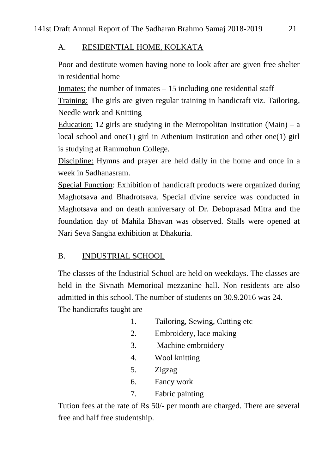## A. RESIDENTIAL HOME, KOLKATA

Poor and destitute women having none to look after are given free shelter in residential home

Inmates: the number of inmates  $-15$  including one residential staff

Training: The girls are given regular training in handicraft viz. Tailoring, Needle work and Knitting

Education: 12 girls are studying in the Metropolitan Institution (Main) – a local school and one(1) girl in Athenium Institution and other one(1) girl is studying at Rammohun College.

Discipline: Hymns and prayer are held daily in the home and once in a week in Sadhanasram.

Special Function: Exhibition of handicraft products were organized during Maghotsava and Bhadrotsava. Special divine service was conducted in Maghotsava and on death anniversary of Dr. Deboprasad Mitra and the foundation day of Mahila Bhavan was observed. Stalls were opened at Nari Seva Sangha exhibition at Dhakuria.

# B. INDUSTRIAL SCHOOL

The classes of the Industrial School are held on weekdays. The classes are held in the Sivnath Memorioal mezzanine hall. Non residents are also admitted in this school. The number of students on 30.9.2016 was 24. The handicrafts taught are-

- 1. Tailoring, Sewing, Cutting etc
- 2. Embroidery, lace making
- 3. Machine embroidery
- 4. Wool knitting
- 5. Zigzag
- 6. Fancy work
- 7. Fabric painting

Tution fees at the rate of Rs 50/- per month are charged. There are several free and half free studentship.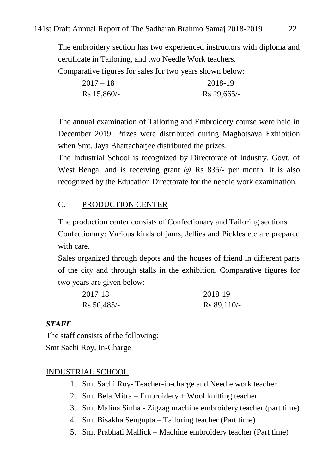The embroidery section has two experienced instructors with diploma and certificate in Tailoring, and two Needle Work teachers.

Comparative figures for sales for two years shown below:

| $2017 - 18$     | 2018-19       |
|-----------------|---------------|
| $Rs\ 15,860/$ - | $Rs 29,665/-$ |

The annual examination of Tailoring and Embroidery course were held in December 2019. Prizes were distributed during Maghotsava Exhibition when Smt. Jaya Bhattacharjee distributed the prizes.

The Industrial School is recognized by Directorate of Industry, Govt. of West Bengal and is receiving grant @ Rs 835/- per month. It is also recognized by the Education Directorate for the needle work examination.

## C. PRODUCTION CENTER

The production center consists of Confectionary and Tailoring sections.

Confectionary: Various kinds of jams, Jellies and Pickles etc are prepared with care.

Sales organized through depots and the houses of friend in different parts of the city and through stalls in the exhibition. Comparative figures for two years are given below:

| 2017-18       | 2018-19       |
|---------------|---------------|
| $Rs 50,485/-$ | $Rs 89,110/-$ |

#### *STAFF*

The staff consists of the following: Smt Sachi Roy, In-Charge

#### INDUSTRIAL SCHOOL

- 1. Smt Sachi Roy- Teacher-in-charge and Needle work teacher
- 2. Smt Bela Mitra Embroidery + Wool knitting teacher
- 3. Smt Malina Sinha Zigzag machine embroidery teacher (part time)
- 4. Smt Bisakha Sengupta Tailoring teacher (Part time)
- 5. Smt Prabhati Mallick Machine embroidery teacher (Part time)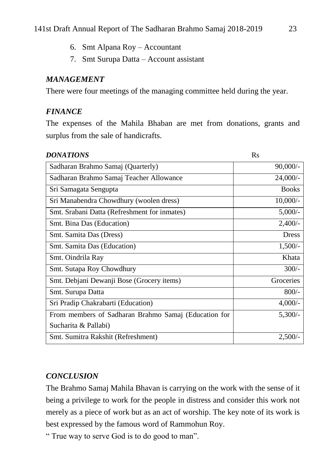- 6. Smt Alpana Roy Accountant
- 7. Smt Surupa Datta Account assistant

## *MANAGEMENT*

There were four meetings of the managing committee held during the year.

## *FINANCE*

The expenses of the Mahila Bhaban are met from donations, grants and surplus from the sale of handicrafts.

| <b>DONATIONS</b>                                     | <b>Rs</b>    |
|------------------------------------------------------|--------------|
| Sadharan Brahmo Samaj (Quarterly)                    | $90,000/-$   |
| Sadharan Brahmo Samaj Teacher Allowance              | $24,000/-$   |
| Sri Samagata Sengupta                                | <b>Books</b> |
| Sri Manabendra Chowdhury (woolen dress)              | $10,000/-$   |
| Smt. Srabani Datta (Refreshment for inmates)         | $5,000/-$    |
| Smt. Bina Das (Education)                            | $2,400/$ -   |
| Smt. Samita Das (Dress)                              | <b>Dress</b> |
| Smt. Samita Das (Education)                          | $1,500/-$    |
| Smt. Oindrila Ray                                    | Khata        |
| Smt. Sutapa Roy Chowdhury                            | $300/-$      |
| Smt. Debjani Dewanji Bose (Grocery items)            | Groceries    |
| Smt. Surupa Datta                                    | $800/-$      |
| Sri Pradip Chakrabarti (Education)                   | $4,000/-$    |
| From members of Sadharan Brahmo Samaj (Education for | $5,300/-$    |
| Sucharita & Pallabi)                                 |              |
| Smt. Sumitra Rakshit (Refreshment)                   | 2,500/       |

# *CONCLUSION*

The Brahmo Samaj Mahila Bhavan is carrying on the work with the sense of it being a privilege to work for the people in distress and consider this work not merely as a piece of work but as an act of worship. The key note of its work is best expressed by the famous word of Rammohun Roy.

" True way to serve God is to do good to man".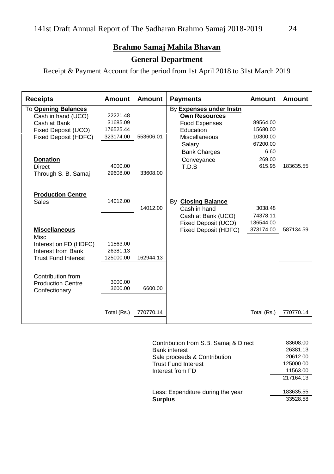# **Brahmo Samaj Mahila Bhavan**

# **General Department**

Receipt & Payment Account for the period from 1st April 2018 to 31st March 2019

| <b>Receipts</b>                                                                                           | <b>Amount</b>                                  | <b>Amount</b> | <b>Payments</b>                                                                                          | Amount                                       | Amount    |
|-----------------------------------------------------------------------------------------------------------|------------------------------------------------|---------------|----------------------------------------------------------------------------------------------------------|----------------------------------------------|-----------|
| To Opening Balances<br>Cash in hand (UCO)<br>Cash at Bank<br>Fixed Deposit (UCO)<br>Fixed Deposit (HDFC)  | 22221.48<br>31685.09<br>176525.44<br>323174.00 | 553606.01     | By Expenses under Instn<br><b>Own Resources</b><br>Food Expenses<br>Education<br>Miscellaneous<br>Salary | 89564.00<br>15680.00<br>10300.00<br>67200.00 |           |
| <b>Donation</b><br><b>Direct</b><br>Through S. B. Samaj                                                   | 4000.00<br>29608.00                            | 33608.00      | <b>Bank Charges</b><br>Conveyance<br>T.D.S                                                               | 6.60<br>269.00<br>615.95                     | 183635.55 |
| <b>Production Centre</b><br>Sales                                                                         | 14012.00                                       | 14012.00      | By <b>Closing Balance</b><br>Cash in hand<br>Cash at Bank (UCO)<br>Fixed Deposit (UCO)                   | 3038.48<br>74378.11<br>136544.00             |           |
| <b>Miscellaneous</b><br>Misc<br>Interest on FD (HDFC)<br>Interest from Bank<br><b>Trust Fund Interest</b> | 11563.00<br>26381.13<br>125000.00              | 162944.13     | Fixed Deposit (HDFC)                                                                                     | 373174.00                                    | 587134.59 |
| Contribution from<br><b>Production Centre</b><br>Confectionary                                            | 3000.00<br>3600.00                             | 6600.00       |                                                                                                          |                                              |           |
|                                                                                                           | Total (Rs.)                                    | 770770.14     |                                                                                                          | Total (Rs.)                                  | 770770.14 |

| Contribution from S.B. Samaj & Direct                | 83608.00<br>26381.13 |
|------------------------------------------------------|----------------------|
| <b>Bank interest</b><br>Sale proceeds & Contribution | 20612.00             |
| <b>Trust Fund Interest</b>                           | 125000.00            |
| Interest from FD                                     | 11563.00             |
|                                                      | 217164.13            |
| Less: Expenditure during the year                    | 183635.55            |
| <b>Surplus</b>                                       | 33528.58             |
|                                                      |                      |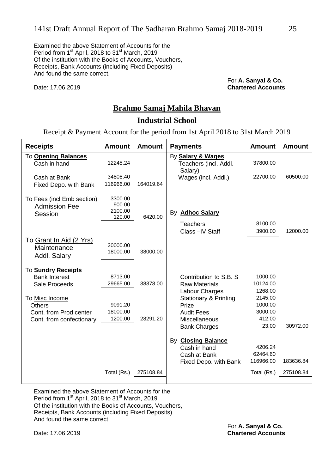Examined the above Statement of Accounts for the Period from 1<sup>st</sup> April, 2018 to 31<sup>st</sup> March, 2019 Of the institution with the Books of Accounts, Vouchers, Receipts, Bank Accounts (including Fixed Deposits) And found the same correct.

For **A. Sanyal & Co.** Date: 17.06.2019 **Chartered Accounts**

#### **Brahmo Samaj Mahila Bhavan**

#### **Industrial School**

Receipt & Payment Account for the period from 1st April 2018 to 31st March 2019

| <b>Receipts</b>                                               | <b>Amount</b>                          | <b>Amount</b> | <b>Payments</b>                  | <b>Amount</b> | Amount    |
|---------------------------------------------------------------|----------------------------------------|---------------|----------------------------------|---------------|-----------|
| <b>To Opening Balances</b>                                    |                                        |               | By Salary & Wages                |               |           |
| Cash in hand                                                  | 12245.24                               |               | Teachers (incl. Addl.            | 37800.00      |           |
|                                                               |                                        |               | Salary)                          |               |           |
| Cash at Bank                                                  | 34808.40                               |               | Wages (incl. Addl.)              | 22700.00      | 60500.00  |
| Fixed Depo. with Bank                                         | 116966.00                              | 164019.64     |                                  |               |           |
| To Fees (incl Emb section)<br><b>Admission Fee</b><br>Session | 3300.00<br>900.00<br>2100.00<br>120.00 | 6420.00       | By <b>Adhoc Salary</b>           |               |           |
|                                                               |                                        |               | <b>Teachers</b>                  | 8100.00       |           |
|                                                               |                                        |               | Class-IV Staff                   | 3900.00       | 12000.00  |
| <u>To Grant In Aid (2 Yrs)</u><br>Maintenance<br>Addl. Salary | 20000.00<br>18000.00                   | 38000.00      |                                  |               |           |
| To Sundry Receipts                                            |                                        |               |                                  |               |           |
| <b>Bank Interest</b>                                          | 8713.00                                |               | Contribution to S.B. S.          | 1000.00       |           |
| Sale Proceeds                                                 | 29665.00                               | 38378.00      | <b>Raw Materials</b>             | 10124.00      |           |
|                                                               |                                        |               | Labour Charges                   | 1268.00       |           |
| To Misc Income                                                |                                        |               | <b>Stationary &amp; Printing</b> | 2145.00       |           |
| Others                                                        | 9091.20                                |               | Prize                            | 1000.00       |           |
| Cont. from Prod center                                        | 18000.00                               |               | <b>Audit Fees</b>                | 3000.00       |           |
| Cont. from confectionary                                      | 1200.00                                | 28291.20      | Miscellaneous                    | 412.00        |           |
|                                                               |                                        |               | <b>Bank Charges</b>              | 23.00         | 30972.00  |
|                                                               |                                        |               | By <b>Closing Balance</b>        |               |           |
|                                                               |                                        |               | Cash in hand                     | 4206.24       |           |
|                                                               |                                        |               | Cash at Bank                     | 62464.60      |           |
|                                                               |                                        |               | Fixed Depo. with Bank            | 116966.00     | 183636.84 |
|                                                               | Total (Rs.)                            | 275108.84     |                                  | Total (Rs.)   | 275108.84 |

Examined the above Statement of Accounts for the Period from 1st April, 2018 to 31st March, 2019 Of the institution with the Books of Accounts, Vouchers, Receipts, Bank Accounts (including Fixed Deposits) And found the same correct.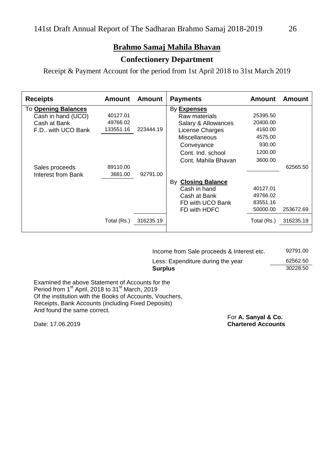# **Brahmo Samaj Mahila Bhavan**

#### **Confectionery Department**

Receipt & Payment Account for the period from 1st April 2018 to 31st March 2019

| <b>Receipts</b>            | <b>Amount</b> | Amount    | <b>Payments</b>              | <b>Amount</b> | Amount    |
|----------------------------|---------------|-----------|------------------------------|---------------|-----------|
| <b>To Opening Balances</b> |               |           | By Expenses                  |               |           |
| Cash in hand (UCO)         | 40127.01      |           | Raw materials                | 25395.50      |           |
| Cash at Bank               | 49766.02      |           | Salary & Allowances          | 20400.00      |           |
| F.D., with UCO Bank        | 133551.16     | 223444.19 | License Charges              | 4160.00       |           |
|                            |               |           | Miscellaneous                | 4575.00       |           |
|                            |               |           | Conveyance                   | 930.00        |           |
|                            |               |           | Cont. Ind. school            | 1200.00       |           |
|                            |               |           | Cont. Mahila Bhavan          | 3600.00       |           |
| Sales proceeds             | 89110.00      |           |                              |               | 62565.50  |
| Interest from Bank         | 3681.00       | 92791.00  |                              |               |           |
|                            |               |           | <b>Closing Balance</b><br>B٧ |               |           |
|                            |               |           | Cash in hand                 | 40127.01      |           |
|                            |               |           | Cash at Bank                 | 49766.02      |           |
|                            |               |           | FD with UCO Bank             | 83551.16      |           |
|                            |               |           | FD with HDFC                 | 50000.00      | 253672.69 |
|                            | Total (Rs.)   | 316235.19 |                              | Total (Rs.)   | 316235.19 |
|                            |               |           |                              |               |           |

| Income from Sale proceeds & Interest etc. | 92791.00 |
|-------------------------------------------|----------|
| Less: Expenditure during the year         | 62562.50 |
| Surplus                                   | 30228.50 |

Examined the above Statement of Accounts for the Period from 1<sup>st</sup> April, 2018 to 31<sup>st</sup> March, 2019 Of the institution with the Books of Accounts, Vouchers, Receipts, Bank Accounts (including Fixed Deposits) And found the same correct.

For **A. Sanyal & Co.** Date: 17.06.2019 **Chartered Accounts**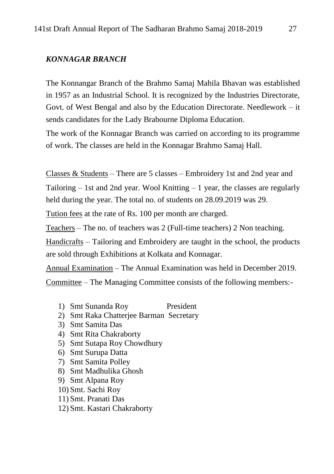#### *KONNAGAR BRANCH*

The Konnangar Branch of the Brahmo Samaj Mahila Bhavan was established in 1957 as an Industrial School. It is recognized by the Industries Directorate, Govt. of West Bengal and also by the Education Directorate. Needlework – it sends candidates for the Lady Brabourne Diploma Education.

The work of the Konnagar Branch was carried on according to its programme of work. The classes are held in the Konnagar Brahmo Samaj Hall.

Classes & Students – There are 5 classes – Embroidery 1st and 2nd year and

Tailoring  $-1$  st and 2nd year. Wool Knitting  $-1$  year, the classes are regularly held during the year. The total no. of students on 28.09.2019 was 29.

Tution fees at the rate of Rs. 100 per month are charged.

Teachers – The no. of teachers was 2 (Full-time teachers) 2 Non teaching.

Handicrafts – Tailoring and Embroidery are taught in the school, the products are sold through Exhibitions at Kolkata and Konnagar.

Annual Examination – The Annual Examination was held in December 2019.

Committee – The Managing Committee consists of the following members:-

- 1) Smt Sunanda Roy President
- 2) Smt Raka Chatterjee Barman Secretary
- 3) Smt Samita Das
- 4) Smt Rita Chakraborty
- 5) Smt Sutapa Roy Chowdhury
- 6) Smt Surupa Datta
- 7) Smt Samita Polley
- 8) Smt Madhulika Ghosh
- 9) Smt Alpana Roy
- 10) Smt. Sachi Roy
- 11) Smt. Pranati Das
- 12) Smt. Kastari Chakraborty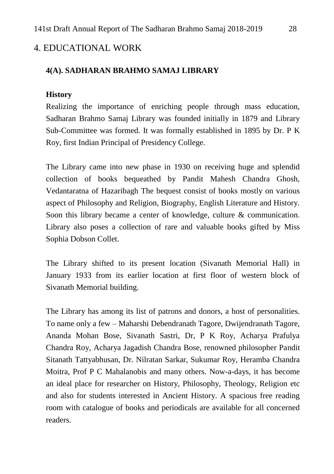# 4. EDUCATIONAL WORK

#### **4(A). SADHARAN BRAHMO SAMAJ LIBRARY**

#### **History**

Realizing the importance of enriching people through mass education, Sadharan Brahmo Samaj Library was founded initially in 1879 and Library Sub-Committee was formed. It was formally established in 1895 by Dr. P K Roy, first Indian Principal of Presidency College.

The Library came into new phase in 1930 on receiving huge and splendid collection of books bequeathed by Pandit Mahesh Chandra Ghosh, Vedantaratna of Hazaribagh The bequest consist of books mostly on various aspect of Philosophy and Religion, Biography, English Literature and History. Soon this library became a center of knowledge, culture & communication. Library also poses a collection of rare and valuable books gifted by Miss Sophia Dobson Collet.

The Library shifted to its present location (Sivanath Memorial Hall) in January 1933 from its earlier location at first floor of western block of Sivanath Memorial building.

The Library has among its list of patrons and donors, a host of personalities. To name only a few – Maharshi Debendranath Tagore, Dwijendranath Tagore, Ananda Mohan Bose, Sivanath Sastri, Dr, P K Roy, Acharya Prafulya Chandra Roy, Acharya Jagadish Chandra Bose, renowned philosopher Pandit Sitanath Tattyabhusan, Dr. Nilratan Sarkar, Sukumar Roy, Heramba Chandra Moitra, Prof P C Mahalanobis and many others. Now-a-days, it has become an ideal place for researcher on History, Philosophy, Theology, Religion etc and also for students interested in Ancient History. A spacious free reading room with catalogue of books and periodicals are available for all concerned readers.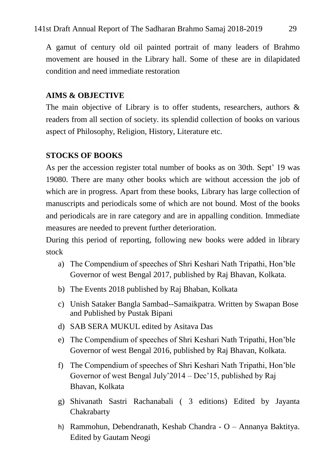A gamut of century old oil painted portrait of many leaders of Brahmo movement are housed in the Library hall. Some of these are in dilapidated condition and need immediate restoration

## **AIMS & OBJECTIVE**

The main objective of Library is to offer students, researchers, authors  $\&$ readers from all section of society. its splendid collection of books on various aspect of Philosophy, Religion, History, Literature etc.

# **STOCKS OF BOOKS**

As per the accession register total number of books as on 30th. Sept' 19 was 19080. There are many other books which are without accession the job of which are in progress. Apart from these books, Library has large collection of manuscripts and periodicals some of which are not bound. Most of the books and periodicals are in rare category and are in appalling condition. Immediate measures are needed to prevent further deterioration.

During this period of reporting, following new books were added in library stock

- a) The Compendium of speeches of Shri Keshari Nath Tripathi, Hon"ble Governor of west Bengal 2017, published by Raj Bhavan, Kolkata.
- b) The Events 2018 published by Raj Bhaban, Kolkata
- c) Unish Sataker Bangla Sambad--Samaikpatra. Written by Swapan Bose and Published by Pustak Bipani
- d) SAB SERA MUKUL edited by Asitava Das
- e) The Compendium of speeches of Shri Keshari Nath Tripathi, Hon"ble Governor of west Bengal 2016, published by Raj Bhavan, Kolkata.
- f) The Compendium of speeches of Shri Keshari Nath Tripathi, Hon"ble Governor of west Bengal July"2014 – Dec"15, published by Raj Bhavan, Kolkata
- g) Shivanath Sastri Rachanabali ( 3 editions) Edited by Jayanta Chakrabarty
- h) Rammohun, Debendranath, Keshab Chandra O Annanya Baktitya. Edited by Gautam Neogi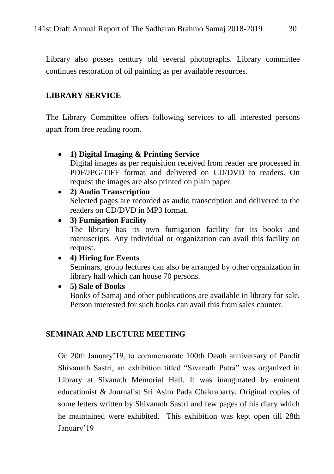Library also posses century old several photographs. Library committee continues restoration of oil painting as per available resources.

#### **LIBRARY SERVICE**

The Library Committee offers following services to all interested persons apart from free reading room.

#### **1) Digital Imaging & Printing Service**

Digital images as per requisition received from reader are processed in PDF/JPG/TIFF format and delivered on CD/DVD to readers. On request the images are also printed on plain paper.

#### **2) Audio Transcription**

Selected pages are recorded as audio transcription and delivered to the readers on CD/DVD in MP3 format.

#### **3) Fumigation Facility**

The library has its own fumigation facility for its books and manuscripts. Any Individual or organization can avail this facility on request.

#### **4) Hiring for Events**

Seminars, group lectures can also be arranged by other organization in library hall which can house 70 persons.

**5) Sale of Books**

Books of Samaj and other publications are available in library for sale. Person interested for such books can avail this from sales counter.

#### **SEMINAR AND LECTURE MEETING**

On 20th January"19, to commemorate 100th Death anniversary of Pandit Shivanath Sastri, an exhibition titled "Sivanath Patra" was organized in Library at Sivanath Memorial Hall. It was inaugurated by eminent educationist & Journalist Sri Asim Pada Chakrabarty. Original copies of some letters written by Shivanath Sastri and few pages of his diary which he maintained were exhibited. This exhibition was kept open till 28th January'19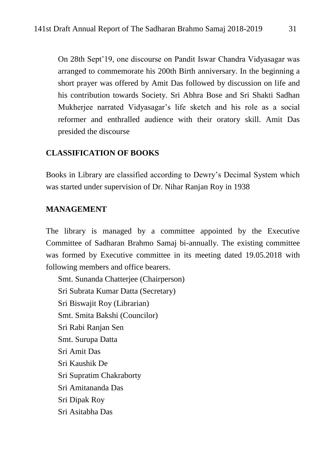On 28th Sept"19, one discourse on Pandit Iswar Chandra Vidyasagar was arranged to commemorate his 200th Birth anniversary. In the beginning a short prayer was offered by Amit Das followed by discussion on life and his contribution towards Society. Sri Abhra Bose and Sri Shakti Sadhan Mukherjee narrated Vidyasagar"s life sketch and his role as a social reformer and enthralled audience with their oratory skill. Amit Das presided the discourse

#### **CLASSIFICATION OF BOOKS**

Books in Library are classified according to Dewry"s Decimal System which was started under supervision of Dr. Nihar Ranjan Roy in 1938

#### **MANAGEMENT**

The library is managed by a committee appointed by the Executive Committee of Sadharan Brahmo Samaj bi-annually. The existing committee was formed by Executive committee in its meeting dated 19.05.2018 with following members and office bearers.

Smt. Sunanda Chatterjee (Chairperson) Sri Subrata Kumar Datta (Secretary) Sri Biswajit Roy (Librarian) Smt. Smita Bakshi (Councilor) Sri Rabi Ranjan Sen Smt. Surupa Datta Sri Amit Das Sri Kaushik De Sri Supratim Chakraborty Sri Amitananda Das Sri Dipak Roy Sri Asitabha Das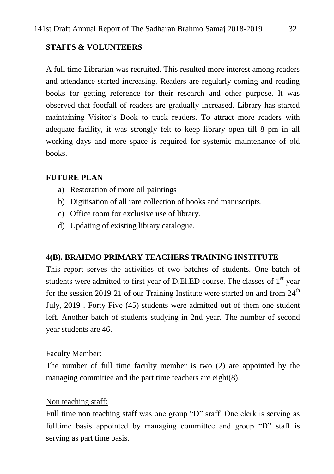#### **STAFFS & VOLUNTEERS**

A full time Librarian was recruited. This resulted more interest among readers and attendance started increasing. Readers are regularly coming and reading books for getting reference for their research and other purpose. It was observed that footfall of readers are gradually increased. Library has started maintaining Visitor"s Book to track readers. To attract more readers with adequate facility, it was strongly felt to keep library open till 8 pm in all working days and more space is required for systemic maintenance of old books.

#### **FUTURE PLAN**

- a) Restoration of more oil paintings
- b) Digitisation of all rare collection of books and manuscripts.
- c) Office room for exclusive use of library.
- d) Updating of existing library catalogue.

#### **4(B). BRAHMO PRIMARY TEACHERS TRAINING INSTITUTE**

This report serves the activities of two batches of students. One batch of students were admitted to first year of D.El.ED course. The classes of  $1<sup>st</sup>$  year for the session 2019-21 of our Training Institute were started on and from  $24<sup>th</sup>$ July, 2019 . Forty Five (45) students were admitted out of them one student left. Another batch of students studying in 2nd year. The number of second year students are 46.

#### Faculty Member:

The number of full time faculty member is two (2) are appointed by the managing committee and the part time teachers are eight(8).

#### Non teaching staff:

Full time non teaching staff was one group "D" sraff. One clerk is serving as fulltime basis appointed by managing committee and group "D" staff is serving as part time basis.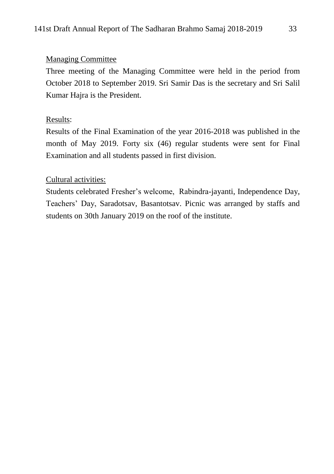## Managing Committee

Three meeting of the Managing Committee were held in the period from October 2018 to September 2019. Sri Samir Das is the secretary and Sri Salil Kumar Hajra is the President.

## Results:

Results of the Final Examination of the year 2016-2018 was published in the month of May 2019. Forty six (46) regular students were sent for Final Examination and all students passed in first division.

#### Cultural activities:

Students celebrated Fresher"s welcome, Rabindra-jayanti, Independence Day, Teachers" Day, Saradotsav, Basantotsav. Picnic was arranged by staffs and students on 30th January 2019 on the roof of the institute.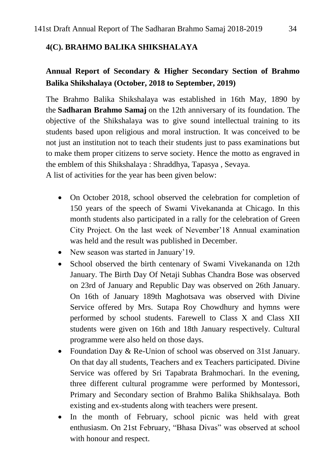## **4(C). BRAHMO BALIKA SHIKSHALAYA**

# **Annual Report of Secondary & Higher Secondary Section of Brahmo Balika Shikshalaya (October, 2018 to September, 2019)**

The Brahmo Balika Shikshalaya was established in 16th May, 1890 by the **[Sadharan Brahmo Samaj](http://thesadharanbrahmosamaj.org/)** on the 12th anniversary of its foundation. The objective of the Shikshalaya was to give sound intellectual training to its students based upon religious and moral instruction. It was conceived to be not just an institution not to teach their students just to pass examinations but to make them proper citizens to serve society. Hence the motto as engraved in the emblem of this Shikshalaya : Shraddhya, Tapasya , Sevaya.

A list of activities for the year has been given below:

- On October 2018, school observed the celebration for completion of 150 years of the speech of Swami Vivekananda at Chicago. In this month students also participated in a rally for the celebration of Green City Project. On the last week of Nevember"18 Annual examination was held and the result was published in December.
- New season was started in January'19.
- School observed the birth centenary of Swami Vivekananda on 12th January. The Birth Day Of Netaji Subhas Chandra Bose was observed on 23rd of January and Republic Day was observed on 26th January. On 16th of January 189th Maghotsava was observed with Divine Service offered by Mrs. Sutapa Roy Chowdhury and hymns were performed by school students. Farewell to Class X and Class XII students were given on 16th and 18th January respectively. Cultural programme were also held on those days.
- Foundation Day & Re-Union of school was observed on 31st January. On that day all students, Teachers and ex Teachers participated. Divine Service was offered by Sri Tapabrata Brahmochari. In the evening, three different cultural programme were performed by Montessori, Primary and Secondary section of Brahmo Balika Shikhsalaya. Both existing and ex-students along with teachers were present.
- In the month of February, school picnic was held with great enthusiasm. On 21st February, "Bhasa Divas" was observed at school with honour and respect.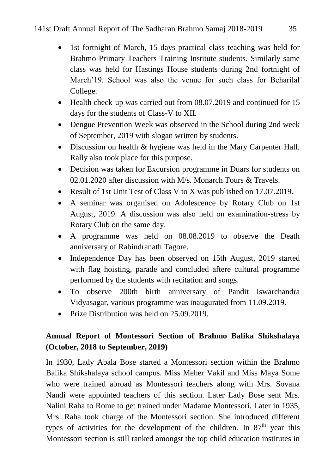- 1st fortnight of March, 15 days practical class teaching was held for Brahmo Primary Teachers Training Institute students. Similarly same class was held for Hastings House students during 2nd fortnight of March"19. School was also the venue for such class for Beharilal College.
- Health check-up was carried out from 08.07.2019 and continued for 15 days for the students of Class-V to XII.
- Dengue Prevention Week was observed in the School during 2nd week of September, 2019 with slogan written by students.
- Discussion on health & hygiene was held in the Mary Carpenter Hall. Rally also took place for this purpose.
- Decision was taken for Excursion programme in Duars for students on 02.01.2020 after discussion with M/s. Monarch Tours & Travels.
- Result of 1st Unit Test of Class V to X was published on 17.07.2019.
- A seminar was organised on Adolescence by Rotary Club on 1st August, 2019. A discussion was also held on examination-stress by Rotary Club on the same day.
- A programme was held on 08.08.2019 to observe the Death anniversary of Rabindranath Tagore.
- Independence Day has been observed on 15th August, 2019 started with flag hoisting, parade and concluded aftere cultural programme performed by the students with recitation and songs.
- To observe 200th birth anniversary of Pandit Iswarchandra Vidyasagar, various programme was inaugurated from 11.09.2019.
- Prize Distribution was held on 25,09,2019.

# **Annual Report of Montessori Section of Brahmo Balika Shikshalaya (October, 2018 to September, 2019)**

In 1930, Lady Abala Bose started a Montessori section within the Brahmo Balika Shikshalaya school campus. Miss Meher Vakil and Miss Maya Some who were trained abroad as Montessori teachers along with Mrs. Sovana Nandi were appointed teachers of this section. Later Lady Bose sent Mrs. Nalini Raha to Rome to get trained under Madame Montessori. Later in 1935, Mrs. Raha took charge of the Montessori section. She introduced different types of activities for the development of the children. In  $87<sup>th</sup>$  year this Montessori section is still ranked amongst the top child education institutes in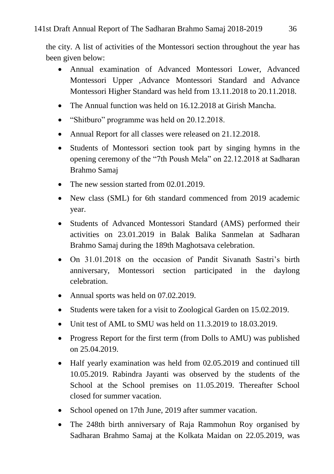the city. A list of activities of the Montessori section throughout the year has been given below:

- Annual examination of Advanced Montessori Lower, Advanced Montessori Upper ,Advance Montessori Standard and Advance Montessori Higher Standard was held from 13.11.2018 to 20.11.2018.
- The Annual function was held on 16.12.2018 at Girish Mancha.
- "Shitburo" programme was held on 20.12.2018.
- Annual Report for all classes were released on 21.12.2018.
- Students of Montessori section took part by singing hymns in the opening ceremony of the "7th Poush Mela" on 22.12.2018 at Sadharan Brahmo Samaj
- The new session started from 02.01.2019.
- New class (SML) for 6th standard commenced from 2019 academic year.
- Students of Advanced Montessori Standard (AMS) performed their activities on 23.01.2019 in Balak Balika Sanmelan at Sadharan Brahmo Samaj during the 189th Maghotsava celebration.
- On 31.01.2018 on the occasion of Pandit Sivanath Sastri's birth anniversary, Montessori section participated in the daylong celebration.
- Annual sports was held on 07.02.2019.
- Students were taken for a visit to Zoological Garden on 15.02.2019.
- Unit test of AML to SMU was held on 11.3.2019 to 18.03.2019.
- Progress Report for the first term (from Dolls to AMU) was published on 25.04.2019.
- Half yearly examination was held from 02.05.2019 and continued till 10.05.2019. Rabindra Jayanti was observed by the students of the School at the School premises on 11.05.2019. Thereafter School closed for summer vacation.
- School opened on 17th June, 2019 after summer vacation.
- The 248th birth anniversary of Raja Rammohun Roy organised by Sadharan Brahmo Samaj at the Kolkata Maidan on 22.05.2019, was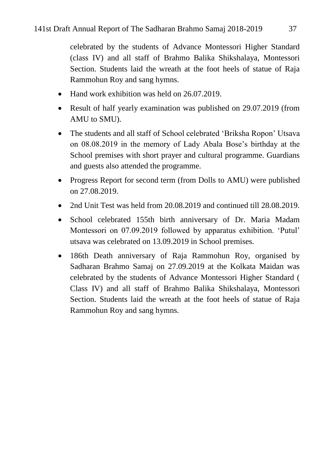celebrated by the students of Advance Montessori Higher Standard (class IV) and all staff of Brahmo Balika Shikshalaya, Montessori Section. Students laid the wreath at the foot heels of statue of Raja Rammohun Roy and sang hymns.

- Hand work exhibition was held on 26.07.2019.
- Result of half yearly examination was published on 29.07.2019 (from AMU to SMU).
- The students and all staff of School celebrated 'Briksha Ropon' Utsava on 08.08.2019 in the memory of Lady Abala Bose"s birthday at the School premises with short prayer and cultural programme. Guardians and guests also attended the programme.
- Progress Report for second term (from Dolls to AMU) were published on 27.08.2019.
- 2nd Unit Test was held from 20.08.2019 and continued till 28.08.2019.
- School celebrated 155th birth anniversary of Dr. Maria Madam Montessori on 07.09.2019 followed by apparatus exhibition. "Putul" utsava was celebrated on 13.09.2019 in School premises.
- 186th Death anniversary of Raja Rammohun Roy, organised by Sadharan Brahmo Samaj on 27.09.2019 at the Kolkata Maidan was celebrated by the students of Advance Montessori Higher Standard ( Class IV) and all staff of Brahmo Balika Shikshalaya, Montessori Section. Students laid the wreath at the foot heels of statue of Raja Rammohun Roy and sang hymns.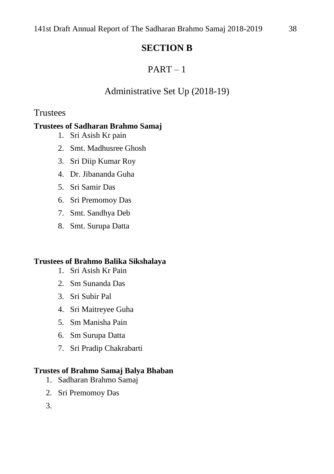# **SECTION B**

# $PART-1$

# Administrative Set Up (2018-19)

# Trustees

# **Trustees of Sadharan Brahmo Samaj**

- 1. Sri Asish Kr pain
- 2. Smt. Madhusree Ghosh
- 3. Sri Diip Kumar Roy
- 4. Dr. Jibananda Guha
- 5. Sri Samir Das
- 6. Sri Premomoy Das
- 7. Smt. Sandhya Deb
- 8. Smt. Surupa Datta

# **Trustees of Brahmo Balika Sikshalaya**

- 1. Sri Asish Kr Pain
- 2. Sm Sunanda Das
- 3. Sri Subir Pal
- 4. Sri Maitreyee Guha
- 5. Sm Manisha Pain
- 6. Sm Surupa Datta
- 7. Sri Pradip Chakrabarti

# **Trustes of Brahmo Samaj Balya Bhaban**

- 1. Sadharan Brahmo Samaj
- 2. Sri Premomoy Das
- 3.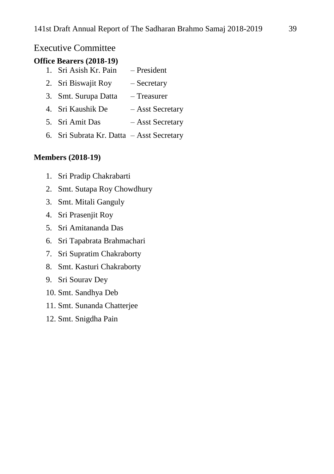## Executive Committee

#### **Office Bearers (2018-19)**

- 1. Sri Asish Kr. Pain President
- 2. Sri Biswajit Roy Secretary
- 3. Smt. Surupa Datta Treasurer
- 4. Sri Kaushik De Asst Secretary
- 5. Sri Amit Das Asst Secretary
- 6. Sri Subrata Kr. Datta Asst Secretary

#### **Members (2018-19)**

- 1. Sri Pradip Chakrabarti
- 2. Smt. Sutapa Roy Chowdhury
- 3. Smt. Mitali Ganguly
- 4. Sri Prasenjit Roy
- 5. Sri Amitananda Das
- 6. Sri Tapabrata Brahmachari
- 7. Sri Supratim Chakraborty
- 8. Smt. Kasturi Chakraborty
- 9. Sri Sourav Dey
- 10. Smt. Sandhya Deb
- 11. Smt. Sunanda Chatterjee
- 12. Smt. Snigdha Pain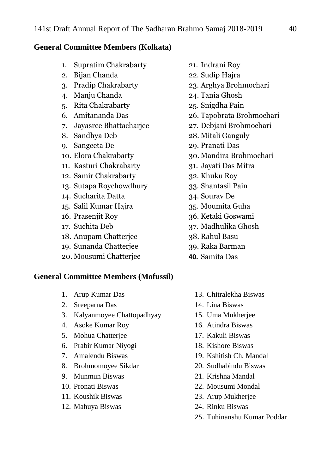#### **General Committee Members (Kolkata)**

- 1. Supratim Chakrabarty
- 2. Bijan Chanda
- 3. Pradip Chakrabarty
- 4. Manju Chanda
- 5. Rita Chakrabarty
- 6. Amitananda Das
- 7. Jayasree Bhattacharjee
- 8. Sandhya Deb
- 9. Sangeeta De
- 10. Elora Chakrabarty
- 11. Kasturi Chakrabarty
- 12. Samir Chakrabarty
- 13. Sutapa Roychowdhury
- 14. Sucharita Datta
- 15. Salil Kumar Hajra
- 16. Prasenjit Roy
- 17. Suchita Deb
- 18. Anupam Chatterjee
- 19. Sunanda Chatterjee
- 20. Mousumi Chatterjee

#### **General Committee Members (Mofussil)**

- 1. Arup Kumar Das
- 2. Sreeparna Das
- 3. Kalyanmoyee Chattopadhyay
- 4. Asoke Kumar Roy
- 5. Mohua Chatterjee
- 6. Prabir Kumar Niyogi
- 7. Amalendu Biswas
- 8. Brohmomoyee Sikdar
- 9. Munmun Biswas
- 10. Pronati Biswas
- 11. Koushik Biswas
- 12. Mahuya Biswas
- 21. Indrani Roy
- 22. Sudip Hajra
- 23. Arghya Brohmochari
- 24. Tania Ghosh
- 25. Snigdha Pain
- 26. Tapobrata Brohmochari
- 27. Debjani Brohmochari
- 28. Mitali Ganguly
- 29. Pranati Das
- 30. Mandira Brohmochari
- 31. Jayati Das Mitra
- 32. Khuku Roy
- 33. Shantasil Pain
- 34. Sourav De
- 35. Moumita Guha
- 36. Ketaki Goswami
- 37. Madhulika Ghosh
- 38. Rahul Basu
- 39. Raka Barman
- **40.** Samita Das
	- 13. Chitralekha Biswas
	- 14. Lina Biswas
	- 15. Uma Mukherjee
	- 16. Atindra Biswas
	- 17. Kakuli Biswas
	- 18. Kishore Biswas
	- 19. Kshitish Ch. Mandal
	- 20. Sudhabindu Biswas
	- 21. Krishna Mandal
	- 22. Mousumi Mondal
	- 23. Arup Mukherjee
	- 24. Rinku Biswas
	- 25. Tuhinanshu Kumar Poddar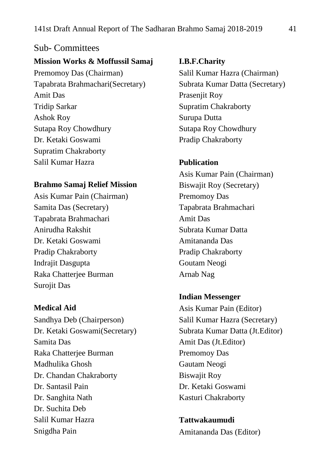# Sub- Committees **Mission Works & Moffussil Samaj** Premomoy Das (Chairman) Tapabrata Brahmachari(Secretary) Amit Das Tridip Sarkar Ashok Roy Sutapa Roy Chowdhury Dr. Ketaki Goswami Supratim Chakraborty Salil Kumar Hazra

#### **Brahmo Samaj Relief Mission**

Asis Kumar Pain (Chairman) Samita Das (Secretary) Tapabrata Brahmachari Anirudha Rakshit Dr. Ketaki Goswami Pradip Chakraborty Indrajit Dasgupta Raka Chatterjee Burman Surojit Das

#### **Medical Aid**

Sandhya Deb (Chairperson) Dr. Ketaki Goswami(Secretary) Samita Das Raka Chatterjee Burman Madhulika Ghosh Dr. Chandan Chakraborty Dr. Santasil Pain Dr. Sanghita Nath Dr. Suchita Deb Salil Kumar Hazra Snigdha Pain

#### **I.B.F.Charity**

Salil Kumar Hazra (Chairman) Subrata Kumar Datta (Secretary) Prasenjit Roy Supratim Chakraborty Surupa Dutta Sutapa Roy Chowdhury Pradip Chakraborty

#### **Publication**

Asis Kumar Pain (Chairman) Biswajit Roy (Secretary) Premomoy Das Tapabrata Brahmachari Amit Das Subrata Kumar Datta Amitananda Das Pradip Chakraborty Goutam Neogi Arnab Nag

#### **Indian Messenger**

Asis Kumar Pain (Editor) Salil Kumar Hazra (Secretary) Subrata Kumar Datta (Jt.Editor) Amit Das (Jt.Editor) Premomoy Das Gautam Neogi Biswajit Roy Dr. Ketaki Goswami Kasturi Chakraborty

**Tattwakaumudi** Amitananda Das (Editor)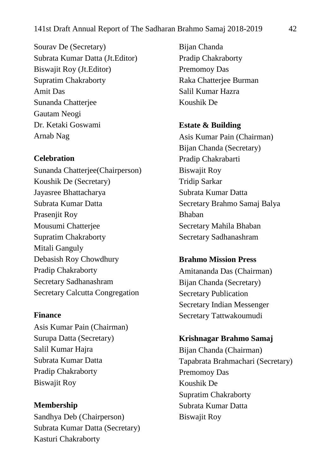Sourav De (Secretary) Subrata Kumar Datta (Jt.Editor) Biswajit Roy (Jt.Editor) Supratim Chakraborty Amit Das Sunanda Chatterjee Gautam Neogi Dr. Ketaki Goswami Arnab Nag

#### **Celebration**

Sunanda Chatterjee(Chairperson) Koushik De (Secretary) Jayasree Bhattacharya Subrata Kumar Datta Prasenjit Roy Mousumi Chatterjee Supratim Chakraborty Mitali Ganguly Debasish Roy Chowdhury Pradip Chakraborty Secretary Sadhanashram Secretary Calcutta Congregation

#### **Finance**

Asis Kumar Pain (Chairman) Surupa Datta (Secretary) Salil Kumar Hajra Subrata Kumar Datta Pradip Chakraborty Biswajit Roy

**Membership** Sandhya Deb (Chairperson) Subrata Kumar Datta (Secretary) Kasturi Chakraborty

Bijan Chanda Pradip Chakraborty Premomoy Das Raka Chatterjee Burman Salil Kumar Hazra Koushik De

**Estate & Building**

Asis Kumar Pain (Chairman) Bijan Chanda (Secretary) Pradip Chakrabarti Biswajit Roy Tridip Sarkar Subrata Kumar Datta Secretary Brahmo Samaj Balya Bhaban Secretary Mahila Bhaban Secretary Sadhanashram

#### **Brahmo Mission Press**

Amitananda Das (Chairman) Bijan Chanda (Secretary) Secretary Publication Secretary Indian Messenger Secretary Tattwakoumudi

#### **Krishnagar Brahmo Samaj**

Bijan Chanda (Chairman) Tapabrata Brahmachari (Secretary) Premomoy Das Koushik De Supratim Chakraborty Subrata Kumar Datta Biswajit Roy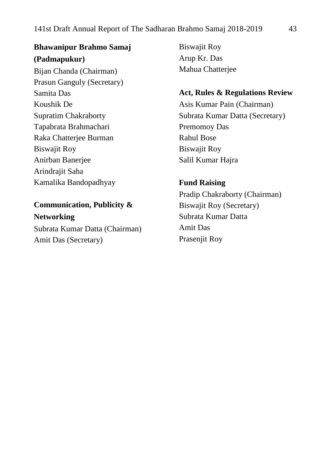**Bhawanipur Brahmo Samaj (Padmapukur)** Bijan Chanda (Chairman) Prasun Ganguly (Secretary) Samita Das Koushik De Supratim Chakraborty Tapabrata Brahmachari Raka Chatterjee Burman Biswajit Roy Anirban Banerjee Arindrajit Saha Kamalika Bandopadhyay

**Communication, Publicity &** 

**Networking** Subrata Kumar Datta (Chairman) Amit Das (Secretary)

Biswajit Roy Arup Kr. Das Mahua Chatterjee

#### **Act, Rules & Regulations Review**

Asis Kumar Pain (Chairman) Subrata Kumar Datta (Secretary) Premomoy Das Rahul Bose Biswajit Roy Salil Kumar Hajra

**Fund Raising**

Pradip Chakraborty (Chairman) Biswajit Roy (Secretary) Subrata Kumar Datta Amit Das Prasenjit Roy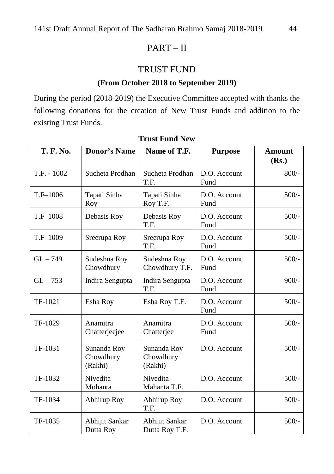# PART – II

# TRUST FUND

## **(From October 2018 to September 2019)**

During the period (2018-2019) the Executive Committee accepted with thanks the following donations for the creation of New Trust Funds and addition to the existing Trust Funds.

| <b>T. F. No.</b> | <b>Donor's Name</b>                 | Name of T.F.                        | <b>Purpose</b>       | <b>Amount</b><br>(Rs.) |
|------------------|-------------------------------------|-------------------------------------|----------------------|------------------------|
| $T.F. - 1002$    | Sucheta Prodhan                     | Sucheta Prodhan<br>T.F.             | D.O. Account<br>Fund | $800/-$                |
| $T.F-1006$       | Tapati Sinha<br>Roy                 | Tapati Sinha<br>Roy T.F.            | D.O. Account<br>Fund | $500/-$                |
| $T.F-1008$       | Debasis Roy                         | Debasis Roy<br>T.F.                 | D.O. Account<br>Fund | $500/-$                |
| T.F-1009         | Sreerupa Roy                        | Sreerupa Roy<br>T.F.                | D.O. Account<br>Fund | $500/-$                |
| $GL - 749$       | Sudeshna Roy<br>Chowdhury           | Sudeshna Roy<br>Chowdhury T.F.      | D.O. Account<br>Fund | $500/-$                |
| $GL - 753$       | Indira Sengupta                     | Indira Sengupta<br>T.F.             | D.O. Account<br>Fund | $900/-$                |
| TF-1021          | Esha Roy                            | Esha Roy T.F.                       | D.O. Account<br>Fund | $500/-$                |
| TF-1029          | Anamitra<br>Chatterjeejee           | Anamitra<br>Chatterjee              | D.O. Account<br>Fund | $500/-$                |
| TF-1031          | Sunanda Roy<br>Chowdhury<br>(Rakhi) | Sunanda Roy<br>Chowdhury<br>(Rakhi) | D.O. Account         | $500/-$                |
| TF-1032          | Nivedita<br>Mohanta                 | Nivedita<br>Mahanta T.F.            | D.O. Account         | $500/-$                |
| TF-1034          | Abhirup Roy                         | Abhirup Roy<br>T.F.                 | D.O. Account         | $500/-$                |
| TF-1035          | Abhijit Sankar<br>Dutta Roy         | Abhijit Sankar<br>Dutta Roy T.F.    | D.O. Account         | $500/-$                |

#### **Trust Fund New**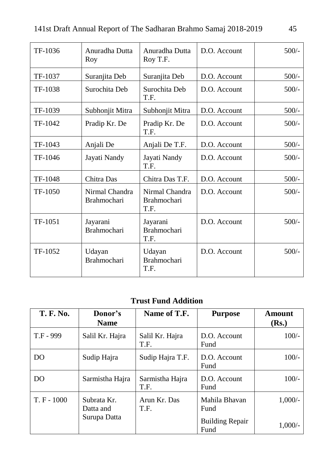| TF-1036 | Anuradha Dutta<br>Roy                | Anuradha Dutta<br>Roy T.F.                   | D.O. Account | $500/-$ |
|---------|--------------------------------------|----------------------------------------------|--------------|---------|
| TF-1037 | Suranjita Deb                        | Suranjita Deb                                | D.O. Account | $500/-$ |
| TF-1038 | Surochita Deb                        | Surochita Deb<br>T.F.                        | D.O. Account | $500/-$ |
| TF-1039 | Subhonjit Mitra                      | Subhonjit Mitra                              | D.O. Account | $500/-$ |
| TF-1042 | Pradip Kr. De                        | Pradip Kr. De<br>T.F.                        | D.O. Account | $500/-$ |
| TF-1043 | Anjali De                            | Anjali De T.F.                               | D.O. Account | $500/-$ |
| TF-1046 | Jayati Nandy                         | Jayati Nandy<br>T.F.                         | D.O. Account | $500/-$ |
| TF-1048 | Chitra Das                           | Chitra Das T.F.                              | D.O. Account | $500/-$ |
| TF-1050 | Nirmal Chandra<br><b>Brahmochari</b> | Nirmal Chandra<br><b>Brahmochari</b><br>T.F. | D.O. Account | $500/-$ |
| TF-1051 | Jayarani<br><b>Brahmochari</b>       | Jayarani<br><b>Brahmochari</b><br>T.F.       | D.O. Account | $500/-$ |
| TF-1052 | Udayan<br><b>Brahmochari</b>         | Udayan<br><b>Brahmochari</b><br>T.F.         | D.O. Account | $500/-$ |

# **Trust Fund Addition**

| <b>T. F. No.</b> | Donor's<br><b>Name</b>   | Name of T.F.            | <b>Purpose</b>                 | Amount<br>( <b>Rs.</b> ) |
|------------------|--------------------------|-------------------------|--------------------------------|--------------------------|
| T.F - 999        | Salil Kr. Hajra          | Salil Kr. Hajra<br>T.F. | $D.O.$ Account<br>Fund         | $100/-$                  |
| DO               | Sudip Hajra              | Sudip Hajra T.F.        | $D.O.$ Account<br>Fund         | $100/-$                  |
| DO               | Sarmistha Hajra          | Sarmistha Hajra<br>T.F. | $D.O.$ Account<br>Fund         | $100/-$                  |
| $T. F - 1000$    | Subrata Kr.<br>Datta and | Arun Kr. Das<br>T.F.    | Mahila Bhavan<br>Fund          | $1,000/-$                |
|                  | Surupa Datta             |                         | <b>Building Repair</b><br>Fund | $1,000/-$                |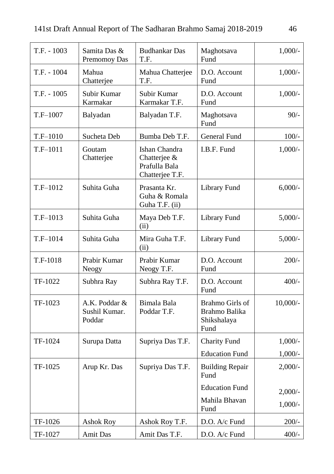| $T.F. - 1003$ | Samita Das &<br>Premomoy Das             | <b>Budhankar Das</b><br>T.F.                                      | Maghotsava<br>Fund                                      | $1,000/-$  |
|---------------|------------------------------------------|-------------------------------------------------------------------|---------------------------------------------------------|------------|
| T.F. - 1004   | Mahua<br>Chatterjee                      | Mahua Chatterjee<br>T.F.                                          | D.O. Account<br>Fund                                    | $1,000/-$  |
| $T.F. - 1005$ | Subir Kumar<br>Karmakar                  | Subir Kumar<br>Karmakar T.F.                                      | D.O. Account<br>Fund                                    | $1,000/-$  |
| T.F-1007      | Balyadan                                 | Balyadan T.F.                                                     | Maghotsava<br>Fund                                      | $90/-$     |
| $T.F-1010$    | Sucheta Deb                              | Bumba Deb T.F.                                                    | General Fund                                            | $100/-$    |
| T.F-1011      | Goutam<br>Chatterjee                     | Ishan Chandra<br>Chatterjee &<br>Prafulla Bala<br>Chatterjee T.F. | I.B.F. Fund                                             | $1,000/-$  |
| $T.F-1012$    | Suhita Guha                              | Prasanta Kr.<br>Guha & Romala<br>Guha T.F. (ii)                   | Library Fund                                            | $6,000/$ - |
| T.F-1013      | Suhita Guha                              | Maya Deb T.F.<br>(ii)                                             | Library Fund                                            | $5,000/-$  |
| $T.F-1014$    | Suhita Guha                              | Mira Guha T.F.<br>(ii)                                            | Library Fund                                            | $5,000/$ - |
| T.F-1018      | Prabir Kumar<br>Neogy                    | Prabir Kumar<br>Neogy T.F.                                        | D.O. Account<br>Fund                                    | $200/-$    |
| TF-1022       | Subhra Ray                               | Subhra Ray T.F.                                                   | D.O. Account<br>Fund                                    | $400/-$    |
| TF-1023       | A.K. Poddar &<br>Sushil Kumar.<br>Poddar | Bimala Bala<br>Poddar T.F.                                        | Brahmo Girls of<br>Brahmo Balika<br>Shikshalaya<br>Fund | $10,000/-$ |
| TF-1024       | Surupa Datta                             | Supriya Das T.F.                                                  | <b>Charity Fund</b>                                     | $1,000/-$  |
|               |                                          |                                                                   | <b>Education Fund</b>                                   | $1,000/-$  |
| TF-1025       | Arup Kr. Das                             | Supriya Das T.F.                                                  | <b>Building Repair</b><br>Fund                          | $2,000/-$  |
|               |                                          |                                                                   | <b>Education Fund</b>                                   | $2,000/$ - |
|               |                                          |                                                                   | Mahila Bhavan<br>Fund                                   | $1,000/-$  |
| TF-1026       | Ashok Roy                                | Ashok Roy T.F.                                                    | D.O. A/c Fund                                           | $200/-$    |
| TF-1027       | <b>Amit Das</b>                          | Amit Das T.F.                                                     | D.O. A/c Fund                                           | $400/-$    |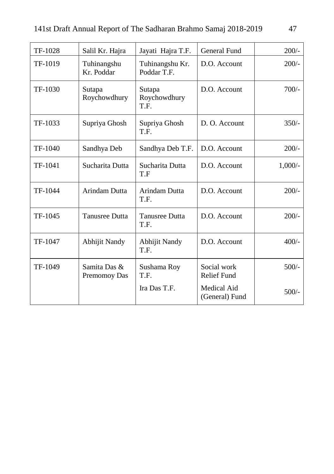| TF-1028 | Salil Kr. Hajra              | Jayati Hajra T.F.              | <b>General Fund</b>                  | $200/-$   |
|---------|------------------------------|--------------------------------|--------------------------------------|-----------|
| TF-1019 | Tuhinangshu<br>Kr. Poddar    | Tuhinangshu Kr.<br>Poddar T.F. | D.O. Account                         | $200/-$   |
| TF-1030 | Sutapa<br>Roychowdhury       | Sutapa<br>Roychowdhury<br>T.F. | D.O. Account                         | $700/-$   |
| TF-1033 | Supriya Ghosh                | Supriya Ghosh<br>T.F.          | D. O. Account                        | $350/-$   |
| TF-1040 | Sandhya Deb                  | Sandhya Deb T.F.               | D.O. Account                         | $200/-$   |
| TF-1041 | Sucharita Dutta              | Sucharita Dutta<br>T.F         | D.O. Account                         | $1,000/-$ |
| TF-1044 | <b>Arindam Dutta</b>         | <b>Arindam Dutta</b><br>T.F.   | D.O. Account                         | $200/-$   |
| TF-1045 | <b>Tanusree Dutta</b>        | <b>Tanusree Dutta</b><br>T.F.  | D.O. Account                         | $200/-$   |
| TF-1047 | <b>Abhijit Nandy</b>         | Abhijit Nandy<br>T.F.          | D.O. Account                         | $400/-$   |
| TF-1049 | Samita Das &<br>Premomoy Das | Sushama Roy<br>T.F.            | Social work<br><b>Relief Fund</b>    | $500/-$   |
|         |                              | Ira Das T.F.                   | <b>Medical Aid</b><br>(General) Fund | $500/-$   |